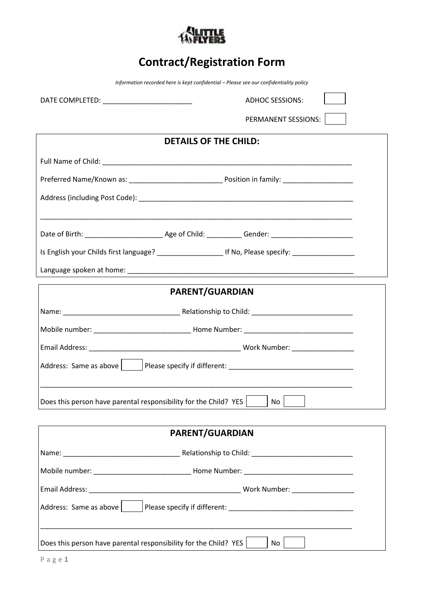

# **Contract/Registration Form**

*Information recorded here is kept confidential – Please see our confidentiality policy*

DATE COMPLETED: \_\_\_\_\_\_\_\_\_\_\_\_\_\_\_\_\_\_\_\_\_\_\_ ADHOC SESSIONS:

PERMANENT SESSIONS:

 $\overline{\phantom{a}}$ 

| <b>DETAILS OF THE CHILD:</b> |                                                                                             |  |
|------------------------------|---------------------------------------------------------------------------------------------|--|
|                              |                                                                                             |  |
|                              |                                                                                             |  |
|                              |                                                                                             |  |
|                              |                                                                                             |  |
|                              |                                                                                             |  |
|                              |                                                                                             |  |
|                              |                                                                                             |  |
| <b>PARENT/GUARDIAN</b>       |                                                                                             |  |
|                              |                                                                                             |  |
|                              |                                                                                             |  |
|                              |                                                                                             |  |
|                              |                                                                                             |  |
|                              |                                                                                             |  |
|                              | Does this person have parental responsibility for the Child? YES $\vert$ $\vert$ No $\vert$ |  |

| <b>PARENT/GUARDIAN</b>                                           |                                 |  |
|------------------------------------------------------------------|---------------------------------|--|
|                                                                  |                                 |  |
|                                                                  |                                 |  |
|                                                                  | Work Number: __________________ |  |
| Address: Same as above                                           |                                 |  |
| Does this person have parental responsibility for the Child? YES | No                              |  |

 $\Gamma$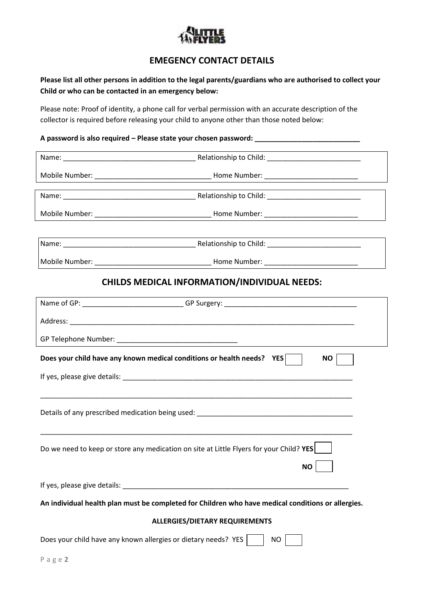

# **EMEGENCY CONTACT DETAILS**

**Please list all other persons in addition to the legal parents/guardians who are authorised to collect your Child or who can be contacted in an emergency below:**

Please note: Proof of identity, a phone call for verbal permission with an accurate description of the collector is required before releasing your child to anyone other than those noted below:

#### **A password is also required – Please state your chosen password: \_\_\_\_\_\_\_\_\_\_\_\_\_\_\_\_\_\_\_\_\_\_\_\_\_\_\_**

|        | <b>CHILDS MEDICAL INFORMATION/INDIVIDUAL NEEDS:</b>                                                |  |
|--------|----------------------------------------------------------------------------------------------------|--|
|        | Name of GP: ____________________________GP Surgery: _____________________________                  |  |
|        |                                                                                                    |  |
|        |                                                                                                    |  |
|        | Does your child have any known medical conditions or health needs? YES<br>NO                       |  |
|        |                                                                                                    |  |
|        |                                                                                                    |  |
|        |                                                                                                    |  |
|        |                                                                                                    |  |
|        | Do we need to keep or store any medication on site at Little Flyers for your Child? YES            |  |
|        | <b>NO</b>                                                                                          |  |
|        |                                                                                                    |  |
|        | An individual health plan must be completed for Children who have medical conditions or allergies. |  |
|        | <b>ALLERGIES/DIETARY REQUIREMENTS</b>                                                              |  |
|        | Does your child have any known allergies or dietary needs? YES<br><b>NO</b>                        |  |
| Page 2 |                                                                                                    |  |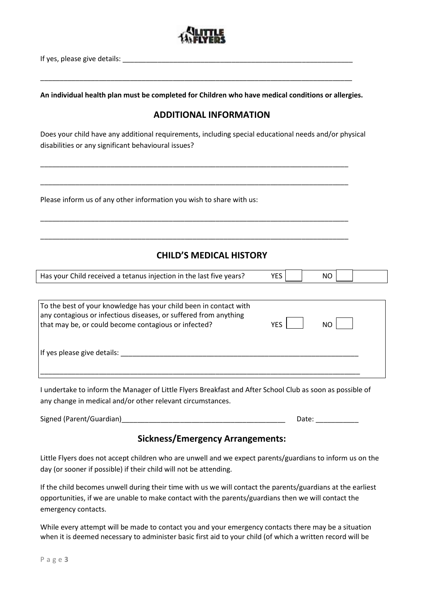

If yes, please give details:

**An individual health plan must be completed for Children who have medical conditions or allergies.**

\_\_\_\_\_\_\_\_\_\_\_\_\_\_\_\_\_\_\_\_\_\_\_\_\_\_\_\_\_\_\_\_\_\_\_\_\_\_\_\_\_\_\_\_\_\_\_\_\_\_\_\_\_\_\_\_\_\_\_\_\_\_\_\_\_\_\_\_\_\_\_\_\_\_\_\_\_\_\_\_

## **ADDITIONAL INFORMATION**

Does your child have any additional requirements, including special educational needs and/or physical disabilities or any significant behavioural issues?

\_\_\_\_\_\_\_\_\_\_\_\_\_\_\_\_\_\_\_\_\_\_\_\_\_\_\_\_\_\_\_\_\_\_\_\_\_\_\_\_\_\_\_\_\_\_\_\_\_\_\_\_\_\_\_\_\_\_\_\_\_\_\_\_\_\_\_\_\_\_\_\_\_\_\_\_\_\_\_

\_\_\_\_\_\_\_\_\_\_\_\_\_\_\_\_\_\_\_\_\_\_\_\_\_\_\_\_\_\_\_\_\_\_\_\_\_\_\_\_\_\_\_\_\_\_\_\_\_\_\_\_\_\_\_\_\_\_\_\_\_\_\_\_\_\_\_\_\_\_\_\_\_\_\_\_\_\_\_

\_\_\_\_\_\_\_\_\_\_\_\_\_\_\_\_\_\_\_\_\_\_\_\_\_\_\_\_\_\_\_\_\_\_\_\_\_\_\_\_\_\_\_\_\_\_\_\_\_\_\_\_\_\_\_\_\_\_\_\_\_\_\_\_\_\_\_\_\_\_\_\_\_\_\_\_\_\_\_

\_\_\_\_\_\_\_\_\_\_\_\_\_\_\_\_\_\_\_\_\_\_\_\_\_\_\_\_\_\_\_\_\_\_\_\_\_\_\_\_\_\_\_\_\_\_\_\_\_\_\_\_\_\_\_\_\_\_\_\_\_\_\_\_\_\_\_\_\_\_\_\_\_\_\_\_\_\_\_

Please inform us of any other information you wish to share with us:

## **CHILD'S MEDICAL HISTORY**

| Has your Child received a tetanus injection in the last five years? | VES <sub>1</sub> | <b>NO</b> |  |
|---------------------------------------------------------------------|------------------|-----------|--|

| To the best of your knowledge has your child been in contact with<br>any contagious or infectious diseases, or suffered from anything<br>that may be, or could become contagious or infected? | YFS I | N <sub>O</sub> |  |
|-----------------------------------------------------------------------------------------------------------------------------------------------------------------------------------------------|-------|----------------|--|
| If yes please give details:                                                                                                                                                                   |       |                |  |

I undertake to inform the Manager of Little Flyers Breakfast and After School Club as soon as possible of any change in medical and/or other relevant circumstances.

Signed (Parent/Guardian)\_\_\_\_\_\_\_\_\_\_\_\_\_\_\_\_\_\_\_\_\_\_\_\_\_\_\_\_\_\_\_\_\_\_\_\_\_\_\_\_\_\_ Date: \_\_\_\_\_\_\_\_\_\_\_

## **Sickness/Emergency Arrangements:**

Little Flyers does not accept children who are unwell and we expect parents/guardians to inform us on the day (or sooner if possible) if their child will not be attending.

If the child becomes unwell during their time with us we will contact the parents/guardians at the earliest opportunities, if we are unable to make contact with the parents/guardians then we will contact the emergency contacts.

While every attempt will be made to contact you and your emergency contacts there may be a situation when it is deemed necessary to administer basic first aid to your child (of which a written record will be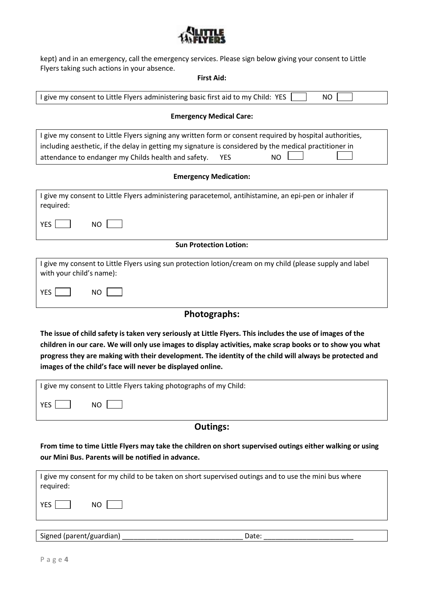

kept) and in an emergency, call the emergency services. Please sign below giving your consent to Little Flyers taking such actions in your absence.

### **First Aid:**

| I give my consent to Little Flyers administering basic first aid to my Child: YES<br><b>NO</b>                                                                                                                                                                                                                                                                                                   |  |  |  |
|--------------------------------------------------------------------------------------------------------------------------------------------------------------------------------------------------------------------------------------------------------------------------------------------------------------------------------------------------------------------------------------------------|--|--|--|
| <b>Emergency Medical Care:</b>                                                                                                                                                                                                                                                                                                                                                                   |  |  |  |
| I give my consent to Little Flyers signing any written form or consent required by hospital authorities,<br>including aesthetic, if the delay in getting my signature is considered by the medical practitioner in<br>attendance to endanger my Childs health and safety.<br><b>YES</b><br><b>NO</b>                                                                                             |  |  |  |
| <b>Emergency Medication:</b>                                                                                                                                                                                                                                                                                                                                                                     |  |  |  |
| I give my consent to Little Flyers administering paracetemol, antihistamine, an epi-pen or inhaler if<br>required:                                                                                                                                                                                                                                                                               |  |  |  |
| <b>YES</b><br><b>NO</b>                                                                                                                                                                                                                                                                                                                                                                          |  |  |  |
| <b>Sun Protection Lotion:</b>                                                                                                                                                                                                                                                                                                                                                                    |  |  |  |
| I give my consent to Little Flyers using sun protection lotion/cream on my child (please supply and label<br>with your child's name):                                                                                                                                                                                                                                                            |  |  |  |
| <b>YES</b><br><b>NO</b>                                                                                                                                                                                                                                                                                                                                                                          |  |  |  |
| Photographs:                                                                                                                                                                                                                                                                                                                                                                                     |  |  |  |
| The issue of child safety is taken very seriously at Little Flyers. This includes the use of images of the<br>children in our care. We will only use images to display activities, make scrap books or to show you what<br>progress they are making with their development. The identity of the child will always be protected and<br>images of the child's face will never be displayed online. |  |  |  |
| I give my consent to Little Flyers taking photographs of my Child:                                                                                                                                                                                                                                                                                                                               |  |  |  |
| YES  <br>$NO \Box$                                                                                                                                                                                                                                                                                                                                                                               |  |  |  |
| <b>Outings:</b>                                                                                                                                                                                                                                                                                                                                                                                  |  |  |  |
| From time to time Little Flyers may take the children on short supervised outings either walking or using<br>our Mini Bus. Parents will be notified in advance.                                                                                                                                                                                                                                  |  |  |  |
| I give my consent for my child to be taken on short supervised outings and to use the mini bus where<br>required:                                                                                                                                                                                                                                                                                |  |  |  |
| YES  <br><b>NO</b>                                                                                                                                                                                                                                                                                                                                                                               |  |  |  |
| Signed (parent/guardian)<br>Date:                                                                                                                                                                                                                                                                                                                                                                |  |  |  |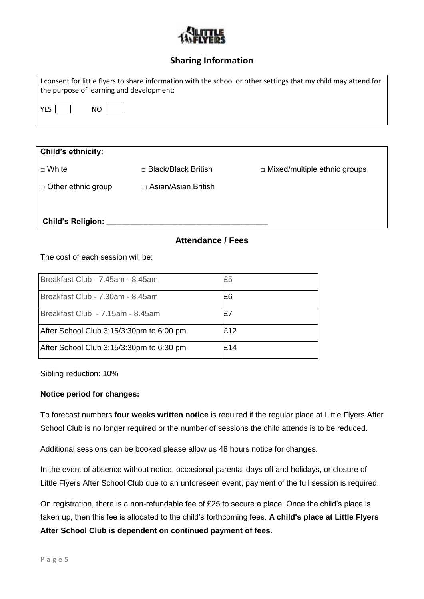

# **Sharing Information**

| I consent for little flyers to share information with the school or other settings that my child may attend for<br>the purpose of learning and development: |
|-------------------------------------------------------------------------------------------------------------------------------------------------------------|
| YES  <br>NO I                                                                                                                                               |
|                                                                                                                                                             |

| Child's ethnicity:        |                            |                                     |
|---------------------------|----------------------------|-------------------------------------|
| $\Box$ White              | $\Box$ Black/Black British | $\Box$ Mixed/multiple ethnic groups |
| $\Box$ Other ethnic group | □ Asian/Asian British      |                                     |
| <b>Child's Religion:</b>  |                            |                                     |

## **Attendance / Fees**

The cost of each session will be:

| Breakfast Club - 7.45am - 8.45am         | £5  |
|------------------------------------------|-----|
| Breakfast Club - 7.30am - 8.45am         | £6  |
| Breakfast Club - 7.15am - 8.45am         | £7  |
| After School Club 3:15/3:30pm to 6:00 pm | £12 |
| After School Club 3:15/3:30pm to 6:30 pm | £14 |

Sibling reduction: 10%

#### **Notice period for changes:**

To forecast numbers **four weeks written notice** is required if the regular place at Little Flyers After School Club is no longer required or the number of sessions the child attends is to be reduced.

Additional sessions can be booked please allow us 48 hours notice for changes.

In the event of absence without notice, occasional parental days off and holidays, or closure of Little Flyers After School Club due to an unforeseen event, payment of the full session is required.

On registration, there is a non-refundable fee of £25 to secure a place. Once the child's place is taken up, then this fee is allocated to the child's forthcoming fees. **A child's place at Little Flyers After School Club is dependent on continued payment of fees.**